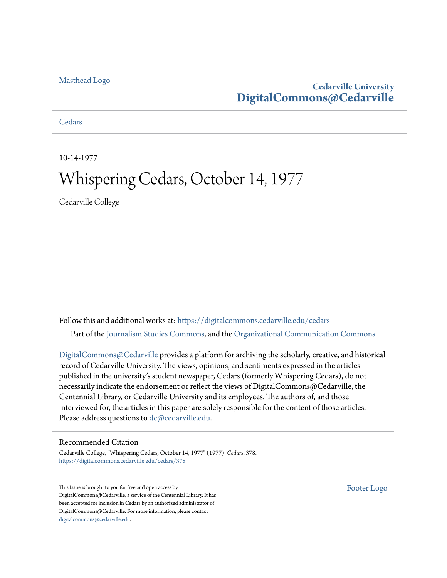#### [Masthead Logo](http://www.cedarville.edu/?utm_source=digitalcommons.cedarville.edu%2Fcedars%2F378&utm_medium=PDF&utm_campaign=PDFCoverPages)

#### **Cedarville University [DigitalCommons@Cedarville](https://digitalcommons.cedarville.edu?utm_source=digitalcommons.cedarville.edu%2Fcedars%2F378&utm_medium=PDF&utm_campaign=PDFCoverPages)**

**[Cedars](https://digitalcommons.cedarville.edu/cedars?utm_source=digitalcommons.cedarville.edu%2Fcedars%2F378&utm_medium=PDF&utm_campaign=PDFCoverPages)** 

10-14-1977

# Whispering Cedars, October 14, 1977

Cedarville College

Follow this and additional works at: [https://digitalcommons.cedarville.edu/cedars](https://digitalcommons.cedarville.edu/cedars?utm_source=digitalcommons.cedarville.edu%2Fcedars%2F378&utm_medium=PDF&utm_campaign=PDFCoverPages) Part of the [Journalism Studies Commons](http://network.bepress.com/hgg/discipline/333?utm_source=digitalcommons.cedarville.edu%2Fcedars%2F378&utm_medium=PDF&utm_campaign=PDFCoverPages), and the [Organizational Communication Commons](http://network.bepress.com/hgg/discipline/335?utm_source=digitalcommons.cedarville.edu%2Fcedars%2F378&utm_medium=PDF&utm_campaign=PDFCoverPages)

[DigitalCommons@Cedarville](http://digitalcommons.cedarville.edu/) provides a platform for archiving the scholarly, creative, and historical record of Cedarville University. The views, opinions, and sentiments expressed in the articles published in the university's student newspaper, Cedars (formerly Whispering Cedars), do not necessarily indicate the endorsement or reflect the views of DigitalCommons@Cedarville, the Centennial Library, or Cedarville University and its employees. The authors of, and those interviewed for, the articles in this paper are solely responsible for the content of those articles. Please address questions to [dc@cedarville.edu.](mailto:dc@cedarville.edu)

#### Recommended Citation

Cedarville College, "Whispering Cedars, October 14, 1977" (1977). *Cedars*. 378. [https://digitalcommons.cedarville.edu/cedars/378](https://digitalcommons.cedarville.edu/cedars/378?utm_source=digitalcommons.cedarville.edu%2Fcedars%2F378&utm_medium=PDF&utm_campaign=PDFCoverPages)

This Issue is brought to you for free and open access by DigitalCommons@Cedarville, a service of the Centennial Library. It has been accepted for inclusion in Cedars by an authorized administrator of DigitalCommons@Cedarville. For more information, please contact [digitalcommons@cedarville.edu](mailto:digitalcommons@cedarville.edu).

[Footer Logo](http://www.cedarville.edu/Academics/Library.aspx?utm_source=digitalcommons.cedarville.edu%2Fcedars%2F378&utm_medium=PDF&utm_campaign=PDFCoverPages)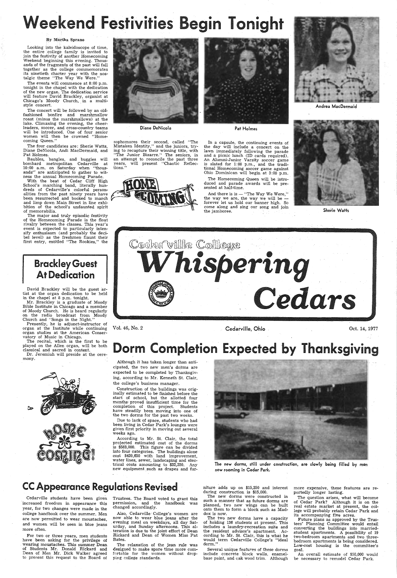Looking into the kaleidoscope. of time, the entire college family is invited to join the festivity of another Homecoming Weekend beginning this evening. Thousands of the fragments of the past will fall together as the college commemorates its ninetieth charter year with the nostalgic theme "The Way We Were."

# kend Festivities Begin Tonight

#### By Martha Sprano

The events will commence at 8:00 p.m. tonight in the chapel with the dedication of the new organ. The dedication service will feature David Brackley, organist at Chicago's Moody Church, in a multistyle concert.

The concert will be followed by an oldfashioned bonfire and marshmallow roast (minus the marshmallows) at the lake. Climaxing the evening, the cheerleaders, soccer, and cross-country teams will be introduced. One of four senior women will then be crowned "Homecoming Queen."

The four candidates are: Sherie Watts, Diane DeNicola, Andi MacDermaid, and Pat Holmes.

 Baubles, bangles, and buggies will bombard metropolitan Cedarville at 10:00 a.m. on Saturday when "thousands'' are anticipated to gather to witness the annual Homecoming Parade.

sophomores their second, called "The Mistaken Identity," and the juniors, trying to recapture their winning title, with "The Junior Bizarre.'' The seniors, in an attempt to reconcile the past three years, will preserit "Chaotic Reflections.





With the beat of Cedar Cliff High School's marching band, literally hundreds of Cedarville's colorful personalities from the past ninety years have been resurrected and booked to march and limp down Main Street in line exhibition of the school's undaunted spirit of memorabilia.

And there is is  $-$  "The Way We Were," the way we are, the way we will be forever let us hold our banner high. So come along and sing our song and join the jamboree.

The major and truly episodic festivity of the Homecoming Parade is the float rivalry between the classes. This year's event is expected to particularly intensify enthusiasm (and probably the decibel level) as the freshmen- flaunt their first entry, entitled "The Rookies," the

Brackley Guest

At Dedication

David Brackley will be the guest artist at the organ dedication to be held

in the chapel at 8 p,m. tonight.

According to Mr. St. Clair, the total projected estimated cost of the dorms is \$583,000. This figure can be divided into four categories. The buildings alone cost \$420,650 with land improvement, water lines, sewer, landscaping and electrical costs amounting to \$32,250. Any new equipment such as drapes and fur-



Mr. Brackley is a graduate of Moody Bible Institute in Chicago and a member of· Moody Church. He is heard regularly on the radio broadcast from Moody Church and "Songs in the Night." Presently, he is adjunct-instructor of organ at the Institute while continuing organ studies at the American Conser-

vatory of Music in Chicago.



Diane DeNicola

Vol. 46, No. 2

Pat Holmes

In <sup>a</sup>capsule, the continuing events of the day will include a concert on the lawn immediately following the parade and a picnic lunch (ID cards required). An Alumni-Junior Varsity soccer game is slated for 1:00 p.m., and the traditional Homecoming soccer game against Ohio Dominican will begin at 3:00 p.m.

The Homecoming-Queen will be introduced and parade awards will be presented at half-time.

The two new dorms have a capacity of holding 136 students at present. This includes a laundry-recreation suite and the resident advisor's apartment. According to Mr. St. Clair, this is what he would term Cedarville College's "ideal dorm."

Cedarville, Ohio



Andrea MacDermaid



Sherie Watts



Oct. 14, 1977

# Dorm Completion Expected by Thanksgiving<br>Although it has taken longer than anti-

The recital, which is the first to be played on the Allen organ, will be both classical and sacred in content.

Dr. Jeremiah will preside at the cere-

cipated, the two new men's dorms are expected to be completed by Thanksgiving, according to Mr. Kenneth St. Clair, the college's business manager.

Construction of the buildings was originally estimated to be finished before the start of school, but the allotted four months, proved insufficient time for the completion of this project. Students have steadily been moving into one of the two dorms for the past two weeks.

Due to lack of space, students who had euar Park's lounges wer given first priority in moving out several weeks ago.





Cedarville students have been given · increased freedom in appearance this year, for two changes were made in the college handbook over the summer. Men are now permitted to wear moustaches, and women will be seen in blue jeans more often.

For two or three years, men students have been asking for the privilege of wearing moustaches. This summer Dean of Students Mr. Donald Rickard and Dean of Men Mr. Dick Walker agreed to present this request to the Board of

Trustees. The Board voted to grant this permission, and the handbook was changed accordingly.

Also, Cedarville· College's women are now able to wear blue jeans after the . evening meal on weekdays, all day Saturday, and Sunday afternoons. This alteration is due to the joint effort of Dean Rickard and Dean of Women Miss Pat Bates.

The relaxation of the jean rule was designed to make spare time more comfortable for the women without dropping college standards.

The new dorms, still under construction, are slowly being filled by men now rooming in Cedar Park.

## **CC Appearance Regulations Revised**

niture adds up on \$15,250 and interest during construction is \$15,000.

The new dorms were constructed in such a manner that as future dorms are planned, two new wings can be built onto them to form a block such as Maddox is now.

Several unique features of these dorms include concrete block walls, enamelbase paint, and oak wood trim. Although more expensive, these features are reportedly longer lasting.

The question arises, what will become of Cedar Park? Although it is on the real estate market at present, the college will probably retain Cedar Park and its accompanying five acres.

Future plans as approved by the Trustees' Planning Committee would entail converting the buildings into marriedstudent apartments. A possibility of 19 two-bedroom apartments and two threebedroom apartments is being considered. Low-cost housing is the committee's goal.

An overall estimate of \$50,000 would be necessary to remodel Cedar Park.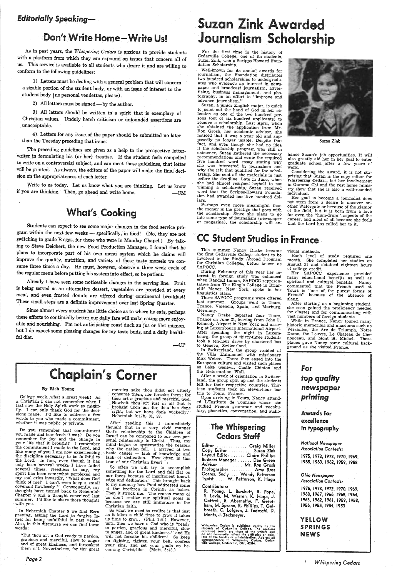## *Editorially.Speaking-*

# Don't Write Home-Write Us!

As in past years, the *Whispering Cedars* is anxious to \_provide students with a platform from which they can expound on issues that concern all of us. This service is available to all students who desire it and are willing to conform to the following guidelines:

1) Letters must be dealing with a general problem that will concern a sizable portion of the student body, or with an issue of interest to the student body ( no personal vendettas, please).

2) All letters must be signed - by the author.

3) All letters should be written in a spirit that is exemplary of Christian values. Unduly harsh criticism or unfounded \_assertions are unacceptable.

4) Letters for any issue of the paper should be submitted no later than the Tuesday preceding that issue.

The preceding guidelines are given as a help to the prospective letterwriter in formulating his (or her) treatise. If the student feels compelled to write on a controversial subject, and can meet these guidelines, that letter will be printed. As always, the editors of the paper will make the final decision on the appropriateness of each letter.

Write to us today. Let us know what you are thinking. Let us know if you are thinking. Then, go ahead and write home. -CM

# **What's Cooking**

mercies sake thou didst not utterly<br>consume them, nor forsake them; for thou art a gracious and merciful God.<br>Howbeit thou art just in all that is brought upon us; for thou has done right, but we have done wickedly." Nehemiah 9:17b, 31, 33.

Students can expect to see some major changes in the food service program within the next few weeks - specifically, in food! (No, they are not switching to grade B eggs, for those who were in Monday Chapel.) By talking to Steve Deichert, the new Food Production Manager, I found that he <sup>p</sup>lans to incorporate part of his own menu system which he claims will improve the quality, nutrition, and variety of those tasty morsels we consume three times a day. He must, however, observe a three week cycle of the regular menu before putting his system into effect, so be patient.

Already I have seen some noticeable changes in the serving line. Fruit is being served as an alternative dessert, vegetables are provided at every meal, and even frosted donuts are offered during continental breakfast! These small steps are a definite improvement over last Spring Quarter.

In Nehemiah Chapter 9 we find Ezra<br>praying, asking the Lord to forgive Israel for being unfaithful in past years.<br>Also, in this discourse we can find these words:

"But thou art a God ready to pardon, gracious and merciful, slow to· anger and· of great kindness, and forsookest them net. Nevertheless, for thy great

Since almost every student has little choice as to where he eats, perhaps these efforts to continually better our daily fare will make eating more enjoyable and nourishing. I'm not anticipating roast duck au jus or filet mignon, but I do expect some pleasing changes for my taste buds, and a daily healthful diet.

 $-CP$ 

# Chaplain's Corner | the Reformation Wall.<br>
After a week of orientation in Switzer-<br>
land, the group split up and the students<br>
left for their respective countries. Thir-

So what we need to realize is that just as it takes a child time to grow it takes us time to grow. (Phil. 1:6.) However, until then we have a God who is "ready to pardon, gracious and merciful, slow to anger, and of great kindness." and He will not forsake his children! So keep on fighting, tighten your belt, confess your sins, and set your goals on be-<br>coming Christ-like. (Matt. 5:48.)

#### By Rich Young

# **Suzan Zink Awarded** Journalism Scholarship

College week, what a great week! As a Christian I can not remember when I<br>last saw the Holy Spirit work so mightily. I can only thank God for the decisions made. I'd like to address a few words to you who made a commitment, whether it was public or private.

. Well-known for its annual awards for journalism, the Foundation distributes two hundred scholarships to undergradu ates who evidence an interest in news-<br>paper and broadcast journalism, advertising, business management, and pho-<br>tography, in an effort to "improve and advance journalism."

Perhaps even more meaningful than the money is the prestige that goes with the scholarship. Since she plans to go into some type of journalism (newspaper or magazine), the scholarship will en-

Do you remember that commitment you made and how fresh it was? Do you remember the joy arid the change in your life that it brought? I remember<br>the commitment I made to the Lord, and like many of you I am now experiencing<br>the discipline necessary to be faithful to<br>the Lord. In fact, even though it has<br>only been several weeks I have failed several times. Needless to say, my spirit has been somewhat perplexed and<br>my soul cries inwardly, "What does God my soul cries inwardly, "What does God think of me? I can't even keep a small covenant flawlessly!'' Consequently, my<br>thoughts have turned back to Nehemiah Chapter 9 and a thought conceived last summer. I'd like to share those thoughts with you.

Considering the award, it is not sur-<br>prising that Suzan is the copy editor for Whispering Cedars, but her involvement in Gamma Chi and the rest home minis try show that she is also a well-rounded individual.

*Page 2* 

After reading this I immediately thought that in a very vivid manner God's relationship to the Children of Israel can be compared to our own personal relationship to Christ. Thus, my<br>mind began to systematize the reasons<br>why the nation fell. I arrived at two basic causes - lack of knowledge and lack of dedication. How often is this true of our Christian lives?

France on June 21, leaving from John F.<br>Kennedy Airport in New York and arriving at Luxembourg International Airport. After spending the night in Luxem- bourg, the group of thirty-three students took a ten-hour drive by chartered bus to Geneva, Switzerland.

the Villa Emmanuel with missionary<br>Max Weber. There they eased into the<br>European culture and visited such places as Lake Geneva, Castle Chinton · and the Reformation Wall.

Upon arriving in Tours, Nancy attend- ed L'Institute de Touraine where she studied French grammar and vocabu-<br>lary, phonetics, conversation, and audio-



So often we will try to accomplish something for the Lord and fall flat on our faces because of insufficient knowledge and dedication! This brought back to my memory how Paul addressed some of the brethren in Corinth as babes. Then it struck me. The reason many of us don't realize our spiritual goals is because we are still immature in the Christian faith.

experience provided many educational benefits as well as spiritual and cultural benefits. Nancy commented that the French used at Tours is "one of the purest forms of French" because of the absence of

slang.<br>After starting as a beginning student, she soon gained the proficiency needed<br>for classes and for communicating with<br>vast numbers of foreign students.

While in France, Nancy toured many historic memorials and museums such as Versailles, the Arc de Triumph, Notre Dame, the Louvre, Le Chateau de Chenonceau, and Mont St. Michel. These <sup>p</sup>laces gave Nancy some cultural back ground as she visited France.

For the first time in the history of Cedarville College, one of its students, Suzan Zink, won a Scripps-Howard Foun- dation Scholarship.

YELLOW SPRINGS **NEWS** 

Suzan, a junior English major, is quick to \_point out the hand of God in her selection as one of the two hundred perreceive a scholarship. Last April, when<br>she obtained the application from Mr.<br>Ron Grosh, her academic advisor, she<br>noticed that it was a year old and sup-<br>posedly no longer usable. Despite that<br>fact, and even though she ha before the deadline. Late in June, when she had almost resigned herself to not winning a scholarship, Suzan received word that the Scripps-Howard Foundation had awarded her five hundred dollars.



Suzan Zink

hance Suzan's job opportunities. It will also greatly aid her in her goal to enter graduate school after a few years of work.

Her goal to become a journalist does not stem from a desire to uncover an other Watergate or because of the glamor<br>of the field, but it is born from a love for even the "hum-drum""aspects of the career, and most of all because she feels that the Lord has called her to it.

# CC Student Studies in France

This summer Nancy Drake became the first Cedarville College student to be involved in the Study Abroad Program for Christian Colleges, better known as SAPOCC.

During February of this year her in-<br>terest in foreign study was enhanced when Randall Inman, SAPOCC representative from The King's College in Briar-<br>cliff Manor, New York, spoke in her linguistics class.

Three SAPOCC programs were offered<br>last summer. Groups went to Tours, France, Valencia, Spain, and Marburg,<br>Germany.<br>Nancy Drake departed four Tours,

After a week of orientation in Switzerland, the group split up and the students teen students took an eleven-hour bus trip to Tours,' France.

## The Whispering Cedars Staff

| Editor  Craig Miller           |  |
|--------------------------------|--|
| Copy Editor  Suzan Zink        |  |
| Layout Editor  Claire Phillips |  |
| Business Manager  Dan Green    |  |
| Advisor  Mr. Ron Grosh         |  |
| Photographer  Amy Ross         |  |
| Corres. Sec'y  Wendy Patterson |  |
| Typist  W. Patterson, K. Haga  |  |

#### Contributors:

R. Young, L. Burchett, R. Pope,<br>S. Levin, M. Warren, K. Haga, J. Cottrell, B. Abernathy, F. Greetham, M. Sprano, R. Phiflips, T. Gal breath, C. Lofgren, J. Tedeschi, D. Monts, J. Jeckmeyer.

Whispering Cedars is published weekly by the students of Cedarville College. The opinions expressed herein are those of the writers and do not necessarily reflect the attitudes or opinions of the faculty or administration.

visual methods.

Each level of study required one month. She completed her studies on August 21 and obtained eighteen hours of college credit.



excellence

#### in typography

*National Newspaper Association Contests:*  1975, 1973, 1972, 1970, 1969, i96S, 1963, 1962, 1959, 1958

#### *Ohio Newspaper Association Contests:*

1975, 1973, 1972, 1970, 1969, 1968, 1967, 1966, 1965, 1964, 1963, 1962, 1961, 1959, 1958, 1956, 1955, 1954, 1953 .

*Whispering Cedars*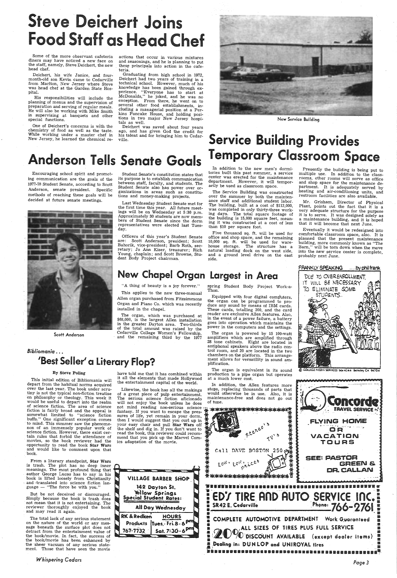# teve Deichert Joins Food Staff as Head Chef

Some of the more observant cafeteria diners may have noticed a new face on the staff, namely, Steve Deichert, the new head chef.

Deichert, his wife Janice, and fourmonth-old son Kevin came to Cedarville from Marlton, New Jersey where Steve was head chef at the Garden State Hospital.

His responsibilities will include the planning of menus and the supervision of<br>preparation and serving of regular meals. He will also be working with Mike Smith in supervising at banquets and other special functions.

One of Deichert's concerns is with the chemistry of food as well as the taste. While working under a master chef in New Jersey, he learned the chemical re-

Deichert was saved about four years ago, and has given God the credit for



actions that occur in various mixtures these principals into action in the cafeteria.

## *Bibliomania* •.. 'Best Seller' a Literary Flop?

Graduating from high school in 1972, Deichert had two years of training in <sup>a</sup>technical school. However, much of his perience. "Everyone has to start at McDonalds," he joked, and he was no exception. From there, he went on to<br>several other food establishments, including a managerial position at a Perkins Pancake House, and holding posi- tions in two major New Jersey hospi- tals as well.

The organ, which was purchased at \$68,000, is the largest Allen installation in the greater Dayton area. Two-thirds Cedarville College Women's Fellowship, and the remaining third by the 1977

Encouraging school spirit and promoting communication are the goals of the 1977-78 Student .Senate, according to Scott Anderson, senate president. Specific methods of reaching these goals will be decided at future senate meetings.



Scott Anderson

Student Senate's constitution states that its purpose is to establish communication between staff, faculty, and students. The Student Senate also has power over or ganizations in areas such as constitutions and money-making projects.

Last Wednesday Student Senate met for the first time this year. All future meetings will be on Wednesday at 5:30 p.m. Approximately 30 students are now members of Student Senate since the dorm representatives were elected last Tues-. day.

center was erected for the maintenance rooms, other rooms will serve as office<br>department. However, it will tempor- and shop space for the maintenance de-<br>arily be used as classroom space. partment. It is adequately served heating and air-conditioning units, and restroom facilities are also available.

> Mr. Grisham, Director of Physical Plant, points out the fact that it is a very adequate structure for the purpose it is to serve. It was designed solely as a maintenance building, and it is hoped that it will become that next June.

Officers of this year's Student Senate are: Scott Anderson, president; Scott Bahorik, vice-president; Barb Roth, secretary; Jo Ann Kiser, treasurer; Rich Young, chaplain; and Scott Browne, Student Body Project chairman.

# tals as well.<br>
Deichert was saved about four years<br>
ago, and has given God the credit for<br>
his talent and for bringing him to Cedar-<br>
ville.<br>
Service Building Provides Anderson Tells Senate Goals Temporary Classroom Space

In addition to the new men's dormi-In addition to the new men's dormi-<br>tories built this past summer, a service multiple use. In addition to the class-<br>center was erected for the maintenance rooms, other rooms will serve as office

The organ is powered by 15 100-watt amplifiers which are amplified through 28 tone cabinets. Eight are located in antiphonal speakers above the radio control room, and 20 are located in the two chambers on the platform. This arrange ment allows for versatility in sound am plification.

"A thing of beauty is a joy forever."

This applies to the new three-manual Allen organ purchased from Fitzsimmons Organ and Piano Co. which was recently installed in the chapel.

Likewise, the book has all the makings of a great piece of pulp entertainment. The serious science fiction aficionado will not enjoy the book unless he does not mind reading non-serious science fantasy. If you want to escape the pressures of life, yet remain in your dorm, then I would suggest that you curl up in your easy chair and pull Star Wars off

and translated into science fiction language  $-$  "The force be with you."

| your easy chair and pull Star Wars off $\mathbb{Z}/n$ |   |
|-------------------------------------------------------|---|
| the shelf and dig in. If you don't want to            |   |
| read the book, this reviewer could recom-             |   |
| mend that you pick up the Marvel Com-                 | ≁ |
| ics adaptation of the movie.                          |   |
|                                                       |   |

142 Dayton St.<br>Yellow Springs<br>Special Student Rates:

RK & Redken HOURS

767-7732 | Sat. 7:30-

The Service Building was constructed over the summer by both the maintenance staff and additional student labor. The building, built at a cost of \$112,000, was completed in only thirty-three work-<br>ing days. The total square footage of<br>the building is 15,000 square feet, mean-<br>ing it was constructed at a cost of less than \$10 per square foot.

Five thousand sq. ft. will be used for office and shop space, and the remaining 10,000 sq. ft. will be used for warehouse storage. The structure has <sup>a</sup> natural loading dock on the west side, and a ground level drive on the east side.

spring Student Body Project Work~a- Thon.

Equipped with four digital comp'uters, the organ can be programmed to pro- duce any sound by means of IBM cards. These cards, totalling 200, and the card reader are exclusive Allen features. Also, in the event of a power failure, a battery goes into operation which maintains the power in the computers and the settings.

Eventually it would be redesigned into comfortable classroom space, also. It is planned that the present maintenance<br>building, more commonly known as "The building, more commonly known as "The Barn," will be torn down when the move into the new service center is complete, probably next June.

## New Chapel Organ Largest in Area



EGE MEDIA SERVICES DOX 4244 Berkeley CA 94704

The organ is equivalent in its sound production to a pipe organ but operates

 depart from the habitual norms acquired over the last year. The book under scrutiny is not the typical non-fiction treatise on philosophy or theology. This week it would be useful to depart into the realm of science fiction. The area of science fiction is fairly broad and the appeal is fiction is fairly broad and the appeal is somewhat limited to "science fiction buffs." One significant exception comes to mind. This summer saw the phenome-<br>non of an immensely popular work of science fiction. However, there exist certain rules that forbid the attendance of movies, so the book reviewer had the opportunity to read the book Star Wars and would like to comment upon that book.

By Steve Poling have told me that it has combined within<br>This initial edition of Bibliomania will the elements that made Hollywood have told me that it has combined within the entertainment capital of the world.

But be not deceived or discouraged. Simp1y because the book is trash does not mean that it is not entertaining. The reviewer thoroughly enjoyed the book and may read it again.





The total lack of any serious statement on the nature of the world or any mes-<br>sage beneath the surface plot does not detract from the entertainment value of the book/movie. In fact, the success of the book/movie has been enhanced by the ·sheer vacuum of any serious statement. Those that have seen the movie

*Whispering Cedars* 

*Page3*